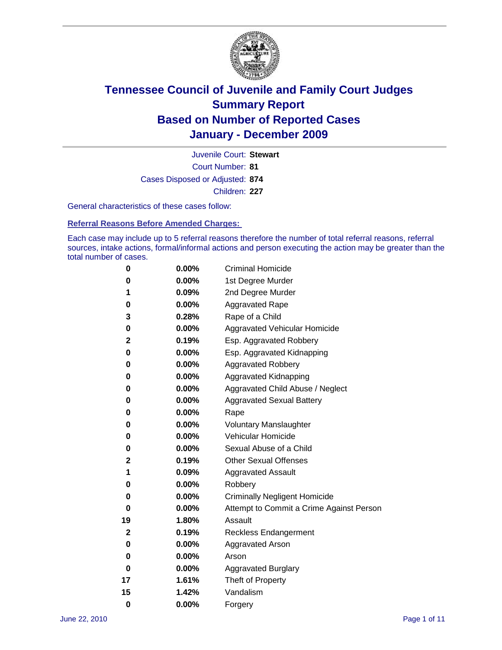

Court Number: **81** Juvenile Court: **Stewart** Cases Disposed or Adjusted: **874** Children: **227**

General characteristics of these cases follow:

**Referral Reasons Before Amended Charges:** 

Each case may include up to 5 referral reasons therefore the number of total referral reasons, referral sources, intake actions, formal/informal actions and person executing the action may be greater than the total number of cases.

| 0  | 0.00% | <b>Criminal Homicide</b>                 |
|----|-------|------------------------------------------|
| 0  | 0.00% | 1st Degree Murder                        |
| 1  | 0.09% | 2nd Degree Murder                        |
| 0  | 0.00% | <b>Aggravated Rape</b>                   |
| 3  | 0.28% | Rape of a Child                          |
| 0  | 0.00% | Aggravated Vehicular Homicide            |
| 2  | 0.19% | Esp. Aggravated Robbery                  |
| 0  | 0.00% | Esp. Aggravated Kidnapping               |
| 0  | 0.00% | <b>Aggravated Robbery</b>                |
| 0  | 0.00% | Aggravated Kidnapping                    |
| 0  | 0.00% | Aggravated Child Abuse / Neglect         |
| 0  | 0.00% | <b>Aggravated Sexual Battery</b>         |
| 0  | 0.00% | Rape                                     |
| 0  | 0.00% | <b>Voluntary Manslaughter</b>            |
| 0  | 0.00% | Vehicular Homicide                       |
| 0  | 0.00% | Sexual Abuse of a Child                  |
| 2  | 0.19% | <b>Other Sexual Offenses</b>             |
| 1  | 0.09% | <b>Aggravated Assault</b>                |
| 0  | 0.00% | Robbery                                  |
| 0  | 0.00% | <b>Criminally Negligent Homicide</b>     |
| 0  | 0.00% | Attempt to Commit a Crime Against Person |
| 19 | 1.80% | Assault                                  |
| 2  | 0.19% | <b>Reckless Endangerment</b>             |
| 0  | 0.00% | <b>Aggravated Arson</b>                  |
| 0  | 0.00% | Arson                                    |
| 0  | 0.00% | <b>Aggravated Burglary</b>               |
| 17 | 1.61% | Theft of Property                        |
| 15 | 1.42% | Vandalism                                |
| 0  | 0.00% | Forgery                                  |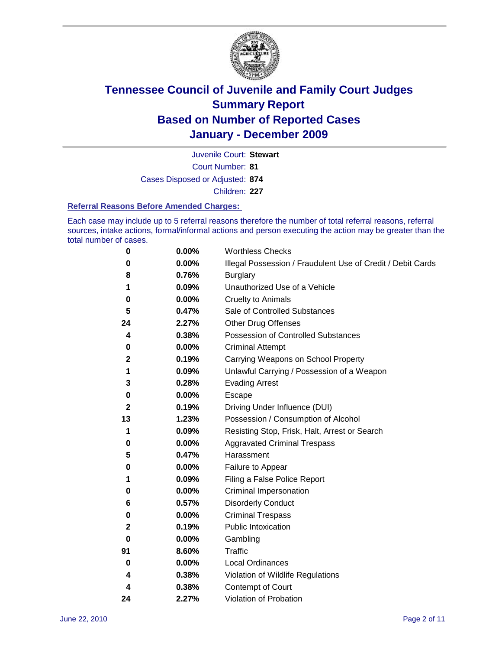

Juvenile Court: **Stewart**

Court Number: **81**

Cases Disposed or Adjusted: **874**

Children: **227**

#### **Referral Reasons Before Amended Charges:**

Each case may include up to 5 referral reasons therefore the number of total referral reasons, referral sources, intake actions, formal/informal actions and person executing the action may be greater than the total number of cases.

| 0            | 0.00% | <b>Worthless Checks</b>                                     |
|--------------|-------|-------------------------------------------------------------|
| 0            | 0.00% | Illegal Possession / Fraudulent Use of Credit / Debit Cards |
| 8            | 0.76% | <b>Burglary</b>                                             |
| 1            | 0.09% | Unauthorized Use of a Vehicle                               |
| 0            | 0.00% | <b>Cruelty to Animals</b>                                   |
| 5            | 0.47% | Sale of Controlled Substances                               |
| 24           | 2.27% | <b>Other Drug Offenses</b>                                  |
| 4            | 0.38% | Possession of Controlled Substances                         |
| 0            | 0.00% | <b>Criminal Attempt</b>                                     |
| $\mathbf{2}$ | 0.19% | Carrying Weapons on School Property                         |
| 1            | 0.09% | Unlawful Carrying / Possession of a Weapon                  |
| 3            | 0.28% | <b>Evading Arrest</b>                                       |
| 0            | 0.00% | Escape                                                      |
| 2            | 0.19% | Driving Under Influence (DUI)                               |
| 13           | 1.23% | Possession / Consumption of Alcohol                         |
| 1            | 0.09% | Resisting Stop, Frisk, Halt, Arrest or Search               |
| 0            | 0.00% | <b>Aggravated Criminal Trespass</b>                         |
| 5            | 0.47% | Harassment                                                  |
| 0            | 0.00% | Failure to Appear                                           |
| 1            | 0.09% | Filing a False Police Report                                |
| 0            | 0.00% | Criminal Impersonation                                      |
| 6            | 0.57% | <b>Disorderly Conduct</b>                                   |
| 0            | 0.00% | <b>Criminal Trespass</b>                                    |
| 2            | 0.19% | <b>Public Intoxication</b>                                  |
| 0            | 0.00% | Gambling                                                    |
| 91           | 8.60% | Traffic                                                     |
| 0            | 0.00% | <b>Local Ordinances</b>                                     |
| 4            | 0.38% | Violation of Wildlife Regulations                           |
| 4            | 0.38% | Contempt of Court                                           |
| 24           | 2.27% | Violation of Probation                                      |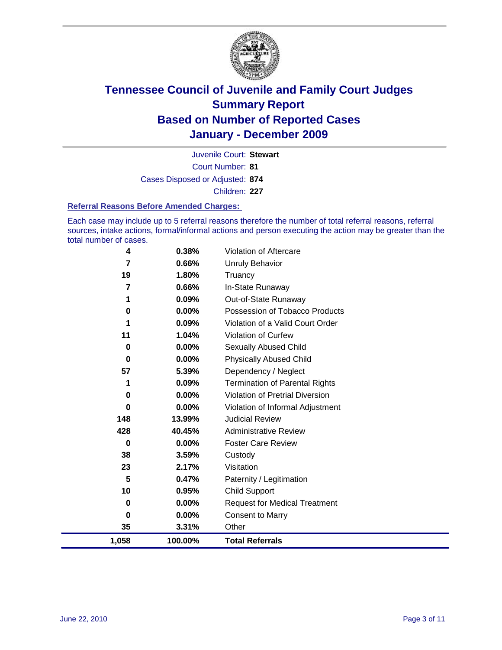

Court Number: **81** Juvenile Court: **Stewart** Cases Disposed or Adjusted: **874** Children: **227**

#### **Referral Reasons Before Amended Charges:**

Each case may include up to 5 referral reasons therefore the number of total referral reasons, referral sources, intake actions, formal/informal actions and person executing the action may be greater than the total number of cases.

| 4     | 0.38%    | Violation of Aftercare                 |
|-------|----------|----------------------------------------|
| 7     | 0.66%    | Unruly Behavior                        |
| 19    | 1.80%    | Truancy                                |
| 7     | 0.66%    | In-State Runaway                       |
| 1     | 0.09%    | Out-of-State Runaway                   |
| 0     | $0.00\%$ | Possession of Tobacco Products         |
| 1     | 0.09%    | Violation of a Valid Court Order       |
| 11    | 1.04%    | Violation of Curfew                    |
| 0     | $0.00\%$ | <b>Sexually Abused Child</b>           |
| 0     | 0.00%    | <b>Physically Abused Child</b>         |
| 57    | 5.39%    | Dependency / Neglect                   |
| 1     | 0.09%    | <b>Termination of Parental Rights</b>  |
| 0     | 0.00%    | <b>Violation of Pretrial Diversion</b> |
| 0     | 0.00%    | Violation of Informal Adjustment       |
| 148   | 13.99%   | <b>Judicial Review</b>                 |
| 428   | 40.45%   | <b>Administrative Review</b>           |
| 0     | 0.00%    | <b>Foster Care Review</b>              |
| 38    | 3.59%    | Custody                                |
| 23    | 2.17%    | Visitation                             |
| 5     | 0.47%    | Paternity / Legitimation               |
| 10    | 0.95%    | <b>Child Support</b>                   |
| 0     | 0.00%    | <b>Request for Medical Treatment</b>   |
| 0     | 0.00%    | <b>Consent to Marry</b>                |
| 35    | 3.31%    | Other                                  |
| 1,058 | 100.00%  | <b>Total Referrals</b>                 |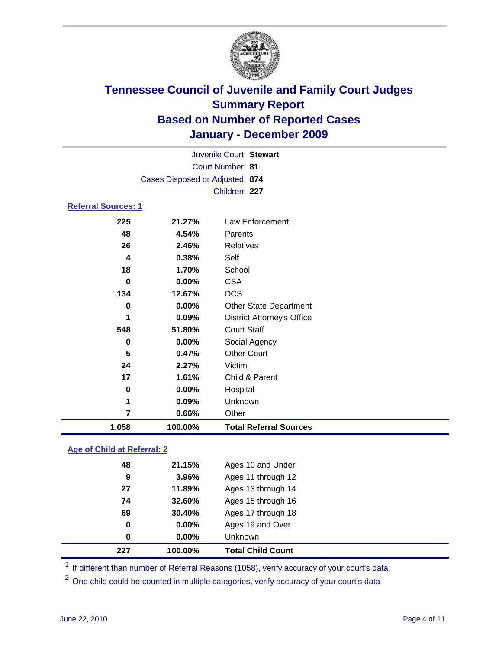

|                            | Juvenile Court: Stewart         |                                   |  |  |
|----------------------------|---------------------------------|-----------------------------------|--|--|
|                            |                                 | <b>Court Number: 81</b>           |  |  |
|                            | Cases Disposed or Adjusted: 874 |                                   |  |  |
|                            |                                 | Children: 227                     |  |  |
| <b>Referral Sources: 1</b> |                                 |                                   |  |  |
| 225                        | 21.27%                          | <b>Law Enforcement</b>            |  |  |
| 48                         | 4.54%                           | Parents                           |  |  |
| 26                         | 2.46%                           | <b>Relatives</b>                  |  |  |
| 4                          | 0.38%                           | Self                              |  |  |
| 18                         | 1.70%                           | School                            |  |  |
| $\bf{0}$                   | 0.00%                           | <b>CSA</b>                        |  |  |
| 134                        | 12.67%                          | <b>DCS</b>                        |  |  |
| 0                          | 0.00%                           | <b>Other State Department</b>     |  |  |
| 1                          | 0.09%                           | <b>District Attorney's Office</b> |  |  |
| 548                        | 51.80%                          | <b>Court Staff</b>                |  |  |
| $\mathbf 0$                | 0.00%                           | Social Agency                     |  |  |
| 5                          | 0.47%                           | <b>Other Court</b>                |  |  |
| 24                         | 2.27%                           | Victim                            |  |  |
| 17                         | 1.61%                           | Child & Parent                    |  |  |
| 0                          | $0.00\%$                        | Hospital                          |  |  |
| 1                          | 0.09%                           | Unknown                           |  |  |
| $\overline{7}$             | 0.66%                           | Other                             |  |  |
| 1,058                      | 100.00%                         | <b>Total Referral Sources</b>     |  |  |
|                            |                                 |                                   |  |  |

### **Age of Child at Referral: 2**

| 227 | 100.00% | <b>Total Child Count</b> |
|-----|---------|--------------------------|
| 0   | 0.00%   | <b>Unknown</b>           |
| 0   | 0.00%   | Ages 19 and Over         |
| 69  | 30.40%  | Ages 17 through 18       |
| 74  | 32.60%  | Ages 15 through 16       |
| 27  | 11.89%  | Ages 13 through 14       |
| 9   | 3.96%   | Ages 11 through 12       |
| 48  | 21.15%  | Ages 10 and Under        |
|     |         |                          |

<sup>1</sup> If different than number of Referral Reasons (1058), verify accuracy of your court's data.

<sup>2</sup> One child could be counted in multiple categories, verify accuracy of your court's data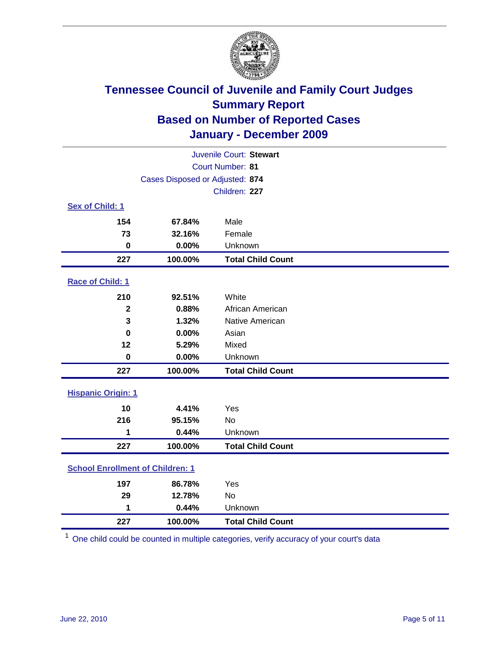

| Juvenile Court: Stewart                 |                                 |                          |  |  |
|-----------------------------------------|---------------------------------|--------------------------|--|--|
| <b>Court Number: 81</b>                 |                                 |                          |  |  |
|                                         | Cases Disposed or Adjusted: 874 |                          |  |  |
|                                         |                                 | Children: 227            |  |  |
| Sex of Child: 1                         |                                 |                          |  |  |
| 154                                     | 67.84%                          | Male                     |  |  |
| 73                                      | 32.16%                          | Female                   |  |  |
| $\mathbf 0$                             | 0.00%                           | Unknown                  |  |  |
| 227                                     | 100.00%                         | <b>Total Child Count</b> |  |  |
| Race of Child: 1                        |                                 |                          |  |  |
| 210                                     | 92.51%                          | White                    |  |  |
| $\mathbf{2}$                            | 0.88%                           | African American         |  |  |
| 3                                       | 1.32%                           | Native American          |  |  |
| $\bf{0}$                                | 0.00%                           | Asian                    |  |  |
| 12                                      | 5.29%                           | Mixed                    |  |  |
| $\mathbf 0$                             | 0.00%                           | Unknown                  |  |  |
| 227                                     | 100.00%                         | <b>Total Child Count</b> |  |  |
| <b>Hispanic Origin: 1</b>               |                                 |                          |  |  |
| 10                                      | 4.41%                           | Yes                      |  |  |
| 216                                     | 95.15%                          | No                       |  |  |
| 1                                       | 0.44%                           | Unknown                  |  |  |
| 227                                     | 100.00%                         | <b>Total Child Count</b> |  |  |
| <b>School Enrollment of Children: 1</b> |                                 |                          |  |  |
| 197                                     | 86.78%                          | Yes                      |  |  |
| 29                                      | 12.78%                          | No                       |  |  |
| 1                                       | 0.44%                           | Unknown                  |  |  |
| 227                                     | 100.00%                         | <b>Total Child Count</b> |  |  |

One child could be counted in multiple categories, verify accuracy of your court's data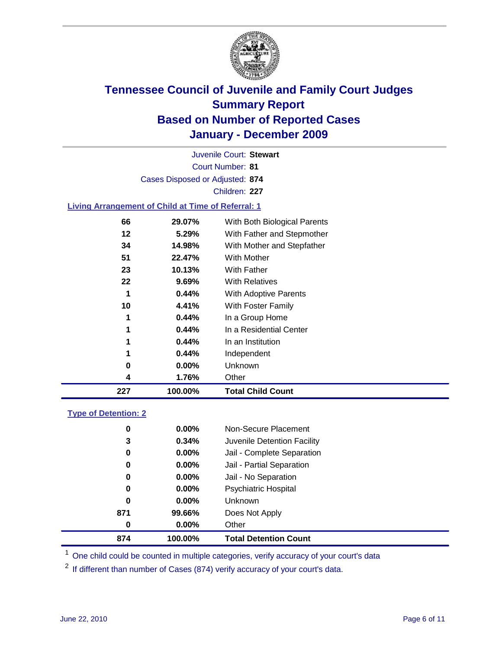

Court Number: **81** Juvenile Court: **Stewart** Cases Disposed or Adjusted: **874** Children: **227 Living Arrangement of Child at Time of Referral: 1**

| 227 | 100.00%  | <b>Total Child Count</b>     |
|-----|----------|------------------------------|
| 4   | 1.76%    | Other                        |
| 0   | $0.00\%$ | Unknown                      |
| 1   | 0.44%    | Independent                  |
| 1   | 0.44%    | In an Institution            |
| 1   | 0.44%    | In a Residential Center      |
| 1   | 0.44%    | In a Group Home              |
| 10  | 4.41%    | With Foster Family           |
| 1   | 0.44%    | With Adoptive Parents        |
| 22  | 9.69%    | <b>With Relatives</b>        |
| 23  | 10.13%   | With Father                  |
| 51  | 22.47%   | With Mother                  |
| 34  | 14.98%   | With Mother and Stepfather   |
| 12  | 5.29%    | With Father and Stepmother   |
| 66  | 29.07%   | With Both Biological Parents |
|     |          |                              |

### **Type of Detention: 2**

| 874      | 100.00%  | <b>Total Detention Count</b> |  |
|----------|----------|------------------------------|--|
| 0        | $0.00\%$ | Other                        |  |
| 871      | 99.66%   | Does Not Apply               |  |
| 0        | $0.00\%$ | <b>Unknown</b>               |  |
| 0        | 0.00%    | <b>Psychiatric Hospital</b>  |  |
| $\bf{0}$ | 0.00%    | Jail - No Separation         |  |
| 0        | $0.00\%$ | Jail - Partial Separation    |  |
| 0        | $0.00\%$ | Jail - Complete Separation   |  |
| 3        | 0.34%    | Juvenile Detention Facility  |  |
| 0        | $0.00\%$ | Non-Secure Placement         |  |
|          |          |                              |  |

<sup>1</sup> One child could be counted in multiple categories, verify accuracy of your court's data

<sup>2</sup> If different than number of Cases (874) verify accuracy of your court's data.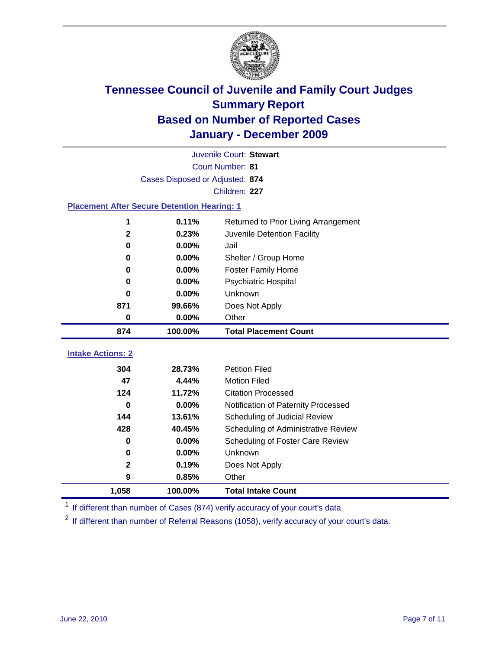

| Juvenile Court: Stewart  |                                                    |                                             |  |  |  |
|--------------------------|----------------------------------------------------|---------------------------------------------|--|--|--|
|                          | Court Number: 81                                   |                                             |  |  |  |
|                          | Cases Disposed or Adjusted: 874                    |                                             |  |  |  |
|                          | Children: 227                                      |                                             |  |  |  |
|                          | <b>Placement After Secure Detention Hearing: 1</b> |                                             |  |  |  |
| 1                        | 0.11%                                              | Returned to Prior Living Arrangement        |  |  |  |
| $\mathbf{2}$             | 0.23%                                              | Juvenile Detention Facility                 |  |  |  |
| $\bf{0}$                 | 0.00%                                              | Jail                                        |  |  |  |
| 0                        | 0.00%                                              | Shelter / Group Home                        |  |  |  |
| 0                        | 0.00%                                              | <b>Foster Family Home</b>                   |  |  |  |
| $\bf{0}$                 | 0.00%                                              | Psychiatric Hospital                        |  |  |  |
| 0                        | $0.00\%$                                           | Unknown                                     |  |  |  |
| 871                      | 99.66%                                             | Does Not Apply                              |  |  |  |
| 0                        | $0.00\%$                                           | Other                                       |  |  |  |
| 874                      | 100.00%                                            | <b>Total Placement Count</b>                |  |  |  |
|                          |                                                    |                                             |  |  |  |
|                          |                                                    |                                             |  |  |  |
| <b>Intake Actions: 2</b> |                                                    |                                             |  |  |  |
| 304                      | 28.73%                                             | <b>Petition Filed</b>                       |  |  |  |
| 47                       | 4.44%                                              | <b>Motion Filed</b>                         |  |  |  |
| 124<br>0                 | 11.72%                                             | <b>Citation Processed</b>                   |  |  |  |
| 144                      | 0.00%<br>13.61%                                    | Notification of Paternity Processed         |  |  |  |
| 428                      | 40.45%                                             | Scheduling of Judicial Review               |  |  |  |
| 0                        | $0.00\%$                                           | Scheduling of Administrative Review         |  |  |  |
| $\mathbf 0$              | 0.00%                                              | Scheduling of Foster Care Review<br>Unknown |  |  |  |
| $\mathbf{2}$             | 0.19%                                              |                                             |  |  |  |
| 9                        | 0.85%                                              | Does Not Apply<br>Other                     |  |  |  |

<sup>1</sup> If different than number of Cases (874) verify accuracy of your court's data.

<sup>2</sup> If different than number of Referral Reasons (1058), verify accuracy of your court's data.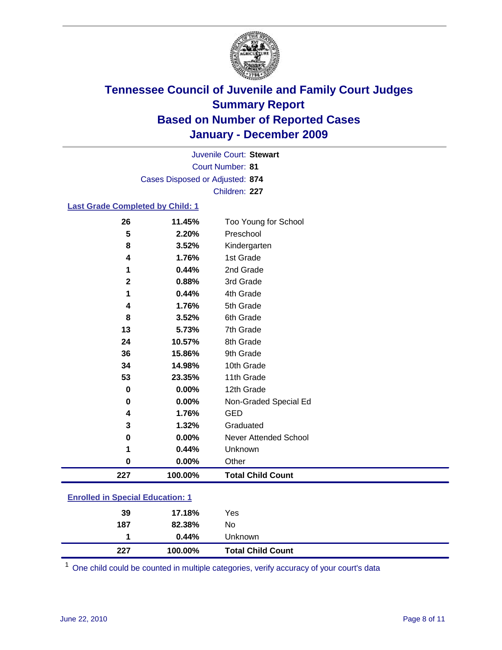

Court Number: **81** Juvenile Court: **Stewart** Cases Disposed or Adjusted: **874** Children: **227**

### **Last Grade Completed by Child: 1**

| 26                                      | 11.45%  | Too Young for School         |  |
|-----------------------------------------|---------|------------------------------|--|
| 5                                       | 2.20%   | Preschool                    |  |
| 8                                       | 3.52%   | Kindergarten                 |  |
| 4                                       | 1.76%   | 1st Grade                    |  |
| 1                                       | 0.44%   | 2nd Grade                    |  |
| $\mathbf{2}$                            | 0.88%   | 3rd Grade                    |  |
| 1                                       | 0.44%   | 4th Grade                    |  |
| 4                                       | 1.76%   | 5th Grade                    |  |
| 8                                       | 3.52%   | 6th Grade                    |  |
| 13                                      | 5.73%   | 7th Grade                    |  |
| 24                                      | 10.57%  | 8th Grade                    |  |
| 36                                      | 15.86%  | 9th Grade                    |  |
| 34                                      | 14.98%  | 10th Grade                   |  |
| 53                                      | 23.35%  | 11th Grade                   |  |
| 0                                       | 0.00%   | 12th Grade                   |  |
| 0                                       | 0.00%   | Non-Graded Special Ed        |  |
| 4                                       | 1.76%   | <b>GED</b>                   |  |
| 3                                       | 1.32%   | Graduated                    |  |
| $\pmb{0}$                               | 0.00%   | <b>Never Attended School</b> |  |
| 1                                       | 0.44%   | Unknown                      |  |
| $\bf{0}$                                | 0.00%   | Other                        |  |
| 227                                     | 100.00% | <b>Total Child Count</b>     |  |
| <b>Enrolled in Special Education: 1</b> |         |                              |  |

| 227 | 100.00% | <b>Total Child Count</b> |
|-----|---------|--------------------------|
|     | 0.44%   | Unknown                  |
| 187 | 82.38%  | No                       |
| 39  | 17.18%  | Yes                      |
|     |         |                          |

One child could be counted in multiple categories, verify accuracy of your court's data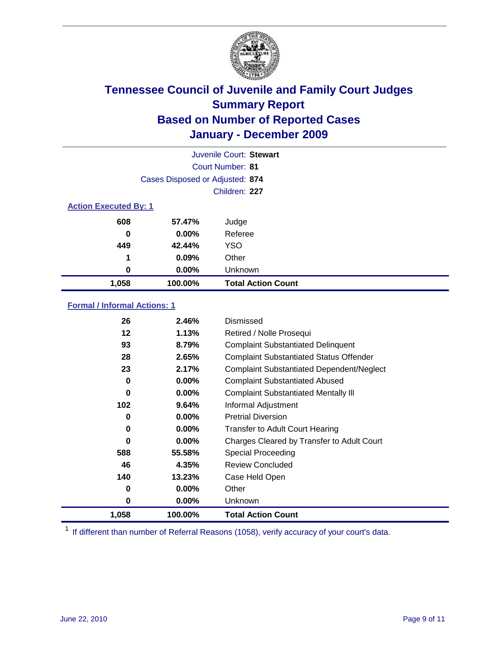

|                              | Juvenile Court: Stewart         |                           |  |  |
|------------------------------|---------------------------------|---------------------------|--|--|
|                              | Court Number: 81                |                           |  |  |
|                              | Cases Disposed or Adjusted: 874 |                           |  |  |
|                              | Children: 227                   |                           |  |  |
| <b>Action Executed By: 1</b> |                                 |                           |  |  |
| 608                          | 57.47%                          | Judge                     |  |  |
| 0                            | $0.00\%$                        | Referee                   |  |  |
| 449                          | 42.44%                          | <b>YSO</b>                |  |  |
| 1                            | 0.09%                           | Other                     |  |  |
| 0                            | 0.00%                           | Unknown                   |  |  |
| 1,058                        | 100.00%                         | <b>Total Action Count</b> |  |  |

### **Formal / Informal Actions: 1**

| 1,058    | 100.00%  | <b>Total Action Count</b>                        |
|----------|----------|--------------------------------------------------|
| 0        | $0.00\%$ | <b>Unknown</b>                                   |
| 0        | $0.00\%$ | Other                                            |
| 140      | 13.23%   | Case Held Open                                   |
| 46       | 4.35%    | <b>Review Concluded</b>                          |
| 588      | 55.58%   | <b>Special Proceeding</b>                        |
| 0        | $0.00\%$ | Charges Cleared by Transfer to Adult Court       |
| 0        | $0.00\%$ | <b>Transfer to Adult Court Hearing</b>           |
| 0        | $0.00\%$ | <b>Pretrial Diversion</b>                        |
| 102      | 9.64%    | Informal Adjustment                              |
| $\bf{0}$ | $0.00\%$ | <b>Complaint Substantiated Mentally III</b>      |
| 0        | 0.00%    | <b>Complaint Substantiated Abused</b>            |
| 23       | 2.17%    | <b>Complaint Substantiated Dependent/Neglect</b> |
| 28       | 2.65%    | <b>Complaint Substantiated Status Offender</b>   |
| 93       | 8.79%    | <b>Complaint Substantiated Delinquent</b>        |
| 12       | 1.13%    | Retired / Nolle Prosequi                         |
| 26       | 2.46%    | Dismissed                                        |

<sup>1</sup> If different than number of Referral Reasons (1058), verify accuracy of your court's data.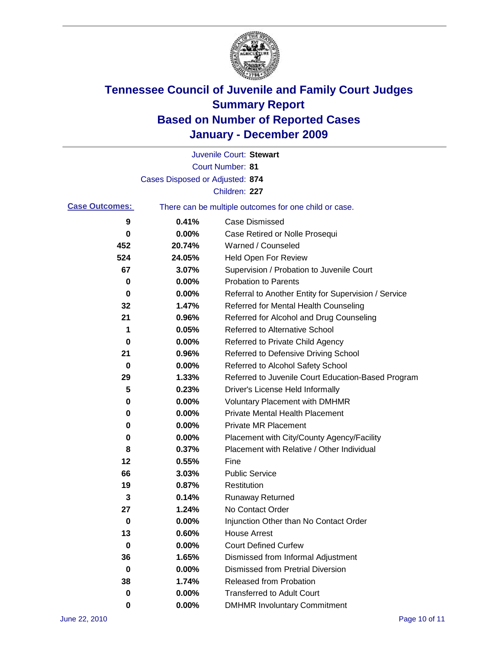

|                       |                                 | Juvenile Court: Stewart                               |
|-----------------------|---------------------------------|-------------------------------------------------------|
|                       |                                 | <b>Court Number: 81</b>                               |
|                       | Cases Disposed or Adjusted: 874 |                                                       |
|                       |                                 | Children: 227                                         |
| <b>Case Outcomes:</b> |                                 | There can be multiple outcomes for one child or case. |
| 9                     | 0.41%                           | <b>Case Dismissed</b>                                 |
| 0                     | 0.00%                           | Case Retired or Nolle Prosequi                        |
| 452                   | 20.74%                          | Warned / Counseled                                    |
| 524                   | 24.05%                          | Held Open For Review                                  |
| 67                    | 3.07%                           | Supervision / Probation to Juvenile Court             |
| 0                     | 0.00%                           | <b>Probation to Parents</b>                           |
| 0                     | 0.00%                           | Referral to Another Entity for Supervision / Service  |
| 32                    | 1.47%                           | Referred for Mental Health Counseling                 |
| 21                    | 0.96%                           | Referred for Alcohol and Drug Counseling              |
| 1                     | 0.05%                           | <b>Referred to Alternative School</b>                 |
| 0                     | 0.00%                           | Referred to Private Child Agency                      |
| 21                    | 0.96%                           | Referred to Defensive Driving School                  |
| 0                     | 0.00%                           | Referred to Alcohol Safety School                     |
| 29                    | 1.33%                           | Referred to Juvenile Court Education-Based Program    |
| 5                     | 0.23%                           | Driver's License Held Informally                      |
| 0                     | 0.00%                           | <b>Voluntary Placement with DMHMR</b>                 |
| 0                     | 0.00%                           | <b>Private Mental Health Placement</b>                |
| 0                     | 0.00%                           | <b>Private MR Placement</b>                           |
| 0                     | 0.00%                           | Placement with City/County Agency/Facility            |
| 8                     | 0.37%                           | Placement with Relative / Other Individual            |
| 12                    | 0.55%                           | Fine                                                  |
| 66                    | 3.03%                           | <b>Public Service</b>                                 |
| 19                    | 0.87%                           | Restitution                                           |
| 3                     | 0.14%                           | <b>Runaway Returned</b>                               |
| 27                    | 1.24%                           | No Contact Order                                      |
| 0                     | 0.00%                           | Injunction Other than No Contact Order                |
| 13                    | 0.60%                           | <b>House Arrest</b>                                   |
| 0                     | 0.00%                           | <b>Court Defined Curfew</b>                           |
| 36                    | 1.65%                           | Dismissed from Informal Adjustment                    |
| $\bf{0}$              | 0.00%                           | <b>Dismissed from Pretrial Diversion</b>              |
| 38                    | 1.74%                           | Released from Probation                               |
| 0                     | $0.00\%$                        | <b>Transferred to Adult Court</b>                     |
| 0                     | $0.00\%$                        | <b>DMHMR Involuntary Commitment</b>                   |